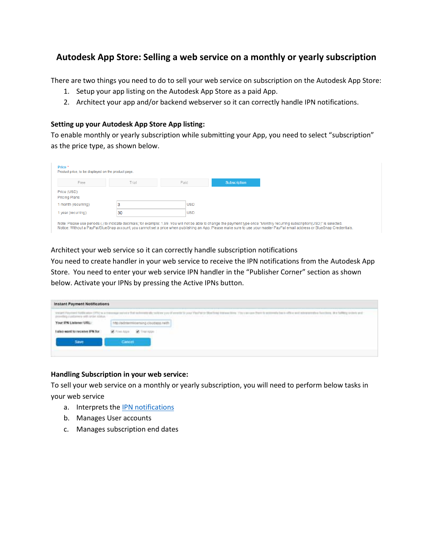# **Autodesk App Store: Selling a web service on a monthly or yearly subscription**

There are two things you need to do to sell your web service on subscription on the Autodesk App Store:

- 1. Setup your app listing on the Autodesk App Store as a paid App.
- 2. Architect your app and/or backend webserver so it can correctly handle IPN notifications.

#### **Setting up your Autodesk App Store App listing:**

To enable monthly or yearly subscription while submitting your App, you need to select "subscription" as the price type, as shown below.

| Price *<br>Product price, to be displayed on the product page. |       |                                                                                                                                                                                                                                                                                                                                                              |                     |
|----------------------------------------------------------------|-------|--------------------------------------------------------------------------------------------------------------------------------------------------------------------------------------------------------------------------------------------------------------------------------------------------------------------------------------------------------------|---------------------|
| Free                                                           | Trial | Paid                                                                                                                                                                                                                                                                                                                                                         | <b>Subscription</b> |
| Price (USD)<br><b>Pricing Plans</b>                            |       |                                                                                                                                                                                                                                                                                                                                                              |                     |
| 1 month (recurring)                                            |       | <b>USD</b>                                                                                                                                                                                                                                                                                                                                                   |                     |
| 1 year (recurring)                                             | 30    | <b>USD</b>                                                                                                                                                                                                                                                                                                                                                   |                     |
|                                                                |       | Note: Please use periods (.) to indicate decimals; for example: 1.99. You will not be able to change the payment type once "Monthly recurring subscription(USD)" is selected.<br>Notice: Without a PayPal/BlueSnap account, you cannot set a price when publishing an App. Please make sure to use your master PayPal email address or BlueSnap Credentials. |                     |

#### Architect your web service so it can correctly handle subscription notifications

You need to create handler in your web service to receive the IPN notifications from the Autodesk App Store. You need to enter your web service IPN handler in the "Publisher Corner" section as shown below. Activate your IPNs by pressing the Active IPNs button.

| Instant Payment Notifications<br>a Control Mill and the control of the control of the control of the control of the |                                                                                                                                      |  |  |  |
|---------------------------------------------------------------------------------------------------------------------|--------------------------------------------------------------------------------------------------------------------------------------|--|--|--|
|                                                                                                                     | ·中国中国中国国际国际国际国际公司公司公司公司管理协会公司公司总统会会计划和国际公司公司和2019年1月1日,2019年1月1日,2019年1月1日,2019年<br>ハーマー いしゃち バイアーズ・コーヒー けいえきかき ココ アール・ビース ようへん アクリア |  |  |  |
| Your IPN Listener URL:                                                                                              | dostoolo prizopositmandel.gh                                                                                                         |  |  |  |
| the property of the company's book to the                                                                           |                                                                                                                                      |  |  |  |
|                                                                                                                     |                                                                                                                                      |  |  |  |
|                                                                                                                     |                                                                                                                                      |  |  |  |

#### **Handling Subscription in your web service:**

To sell your web service on a monthly or yearly subscription, you will need to perform below tasks in your web service

- a. Interprets the **IPN** notifications
- b. Manages User accounts
- c. Manages subscription end dates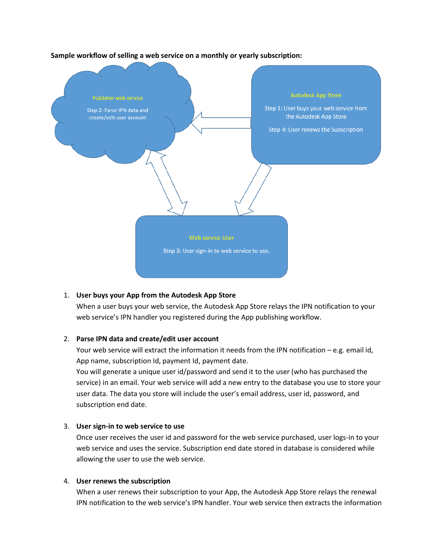

**Sample workflow of selling a web service on a monthly or yearly subscription:**

## 1. **User buys your App from the Autodesk App Store**

When a user buys your web service, the Autodesk App Store relays the IPN notification to your web service's IPN handler you registered during the App publishing workflow.

## 2. **Parse IPN data and create/edit user account**

Your web service will extract the information it needs from the IPN notification – e.g. email id, App name, subscription Id, payment Id, payment date.

You will generate a unique user id/password and send it to the user (who has purchased the service) in an email. Your web service will add a new entry to the database you use to store your user data. The data you store will include the user's email address, user id, password, and subscription end date.

## 3. **User sign-in to web service to use**

Once user receives the user id and password for the web service purchased, user logs-in to your web service and uses the service. Subscription end date stored in database is considered while allowing the user to use the web service.

#### 4. **User renews the subscription**

When a user renews their subscription to your App, the Autodesk App Store relays the renewal IPN notification to the web service's IPN handler. Your web service then extracts the information